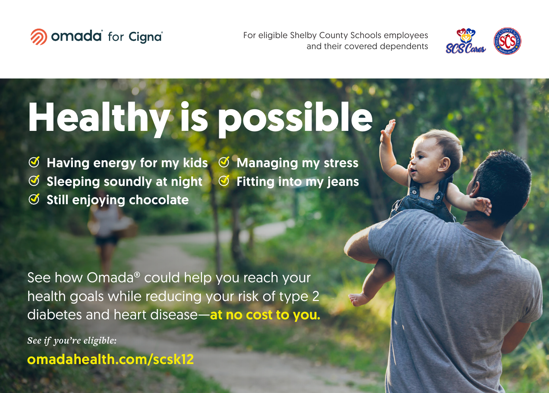## omada for Cigna

For eligible Shelby County Schools employees and their covered dependents



# **Healthy is possible**

 $\Theta$  Having energy for my kids  $\Theta$  Managing my stress  $\Theta$  Sleeping soundly at night  $\Theta$  Fitting into my jeans  $\mathcal G$  Still enjoying chocolate

See how Omada® could help you reach your health goals while reducing your risk of type 2 diabetes and heart disease—at no cost to you.

omadahealth.com/scsk12 *See if you're eligible:*